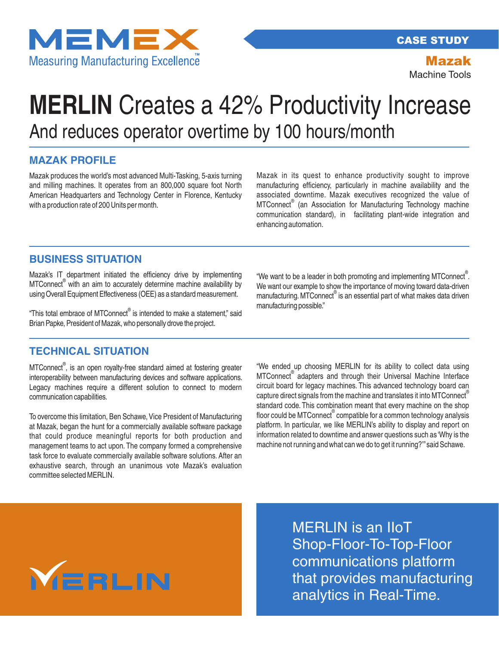

CASE STUDY

Mazak Machine Tools

# And reduces operator overtime by 100 hours/month **MERLIN** Creates a 42% Productivity Increase

## **MAZAK PROFILE**

Mazak produces the world's most advanced Multi-Tasking, 5-axis turning and milling machines. It operates from an 800,000 square foot North American Headquarters and Technology Center in Florence, Kentucky with a production rate of 200 Units per month.

Mazak in its quest to enhance productivity sought to improve manufacturing efficiency, particularly in machine availability and the associated downtime. Mazak executives recognized the value of MTConnect<sup>®</sup> (an Association for Manufacturing Technology machine communication standard), in facilitating plant-wide integration and enhancing automation.

#### **BUSINESS SITUATION**

Mazak's IT department initiated the efficiency drive by implementing MTConnect<sup>®</sup> with an aim to accurately determine machine availability by using Overall Equipment Effectiveness (OEE) as a standard measurement.

"This total embrace of MTConnect<sup>®</sup> is intended to make a statement," said Brian Papke, President of Mazak, who personally drove the project.

### **TECHNICAL SITUATION**

MTConnect<sup>®</sup>, is an open royalty-free standard aimed at fostering greater interoperability between manufacturing devices and software applications. Legacy machines require a different solution to connect to modern communication capabilities.

To overcome this limitation, Ben Schawe, Vice President of Manufacturing at Mazak, began the hunt for a commercially available software package that could produce meaningful reports for both production and management teams to act upon. The company formed a comprehensive task force to evaluate commercially available software solutions. After an exhaustive search, through an unanimous vote Mazak's evaluation committee selected MERLIN.

"We want to be a leader in both promoting and implementing MTConnect $^{\circ}$ . We want our example to show the importance of moving toward data-driven manufacturing. MTConnect® is an essential part of what makes data driven manufacturing possible."

"We ended up choosing MERLIN for its ability to collect data using MTConnect<sup>®</sup> adapters and through their Universal Machine Interface circuit board for legacy machines. This advanced technology board can capture direct signals from the machine and translates it into MTConnect standard code. This combination meant that every machine on the shop floor could be MTConnect compatible for a common technology analysis platform. In particular, we like MERLIN's ability to display and report on information related to downtime and answer questions such as 'Why is the machine not running and what can we do to get it running?'"said Schawe.



MERLIN is an IIoT Shop-Floor-To-Top-Floor communications platform that provides manufacturing analytics in Real-Time.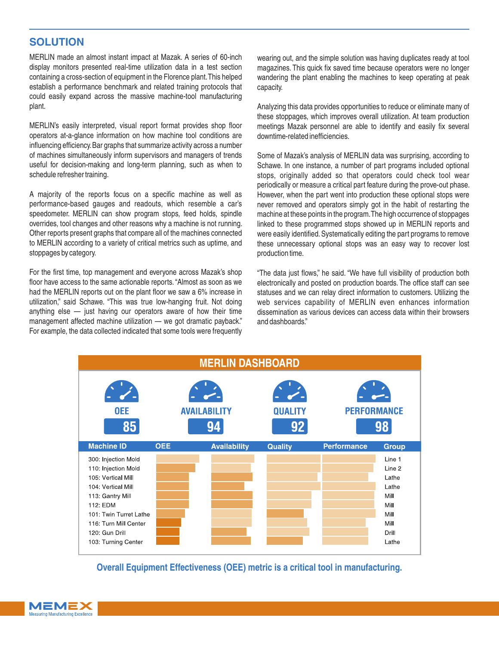### **SOLUTION**

MERLIN made an almost instant impact at Mazak. A series of 60-inch display monitors presented real-time utilization data in a test section containing a cross-section of equipment in the Florence plant.This helped establish a performance benchmark and related training protocols that could easily expand across the massive machine-tool manufacturing plant.

MERLIN's easily interpreted, visual report format provides shop floor operators at-a-glance information on how machine tool conditions are influencing efficiency.Bar graphs that summarize activity across a number of machines simultaneously inform supervisors and managers of trends useful for decision-making and long-term planning, such as when to schedule refresher training.

A majority of the reports focus on a specific machine as well as performance-based gauges and readouts, which resemble a car's speedometer. MERLIN can show program stops, feed holds, spindle overrides, tool changes and other reasons why a machine is not running. Other reports present graphs that compare all of the machines connected to MERLIN according to a variety of critical metrics such as uptime, and stoppages by category.

For the first time, top management and everyone across Mazak's shop floor have access to the same actionable reports."Almost as soon as we had the MERLIN reports out on the plant floor we saw a 6% increase in utilization," said Schawe. "This was true low-hanging fruit. Not doing anything else — just having our operators aware of how their time management affected machine utilization — we got dramatic payback." For example, the data collected indicated that some tools were frequently

wearing out, and the simple solution was having duplicates ready at tool magazines. This quick fix saved time because operators were no longer wandering the plant enabling the machines to keep operating at peak capacity.

Analyzing this data provides opportunities to reduce or eliminate many of these stoppages, which improves overall utilization. At team production meetings Mazak personnel are able to identify and easily fix several downtime-related inefficiencies.

Some of Mazak's analysis of MERLIN data was surprising, according to Schawe. In one instance, a number of part programs included optional stops, originally added so that operators could check tool wear periodically or measure a critical part feature during the prove-out phase. However, when the part went into production these optional stops were never removed and operators simply got in the habit of restarting the machine at these points in the program.The high occurrence of stoppages linked to these programmed stops showed up in MERLIN reports and were easily identified. Systematically editing the part programs to remove these unnecessary optional stops was an easy way to recover lost production time.

"The data just flows," he said. "We have full visibility of production both electronically and posted on production boards. The office staff can see statuses and we can relay direct information to customers. Utilizing the web services capability of MERLIN even enhances information dissemination as various devices can access data within their browsers and dashboards."



**Overall Equipment Effectiveness (OEE) metric is a critical tool in manufacturing.**

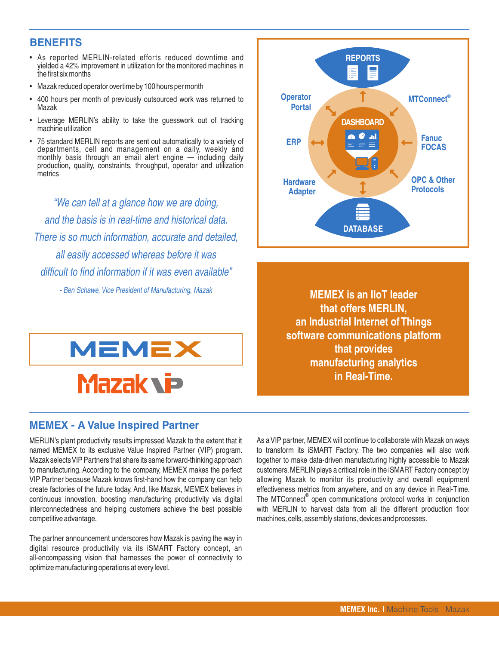#### **BENEFITS**

- As reported MERLIN-related efforts reduced downtime and yielded a 42% improvement in utilization for the monitored machines in the first six months
- Mazak reduced operator overtime by 100 hours per month
- 400 hours per month of previously outsourced work was returned to Mazak
- Leverage MERLIN's ability to take the guesswork out of tracking machine utilization
- 75 standard MERLIN reports are sent out automatically to a variety of departments, cell and management on a daily, weekly and monthly basis through an email alert engine — including daily production, quality, constraints, throughput, operator and utilization metrics

"We can tell at a glance how we are doing, and the basis is in real-time and historical data. There is so much information, accurate and detailed, all easily accessed whereas before it was difficult to find information if it was even available"

- Ben Schawe, Vice President of Manufacturing, Mazak

**MEMEX** 

# **Mazak vip**

As a VIP partner, MEMEX will continue to collaborate with Mazak on ways to transform its iSMART Factory. The two companies will also work together to make data-driven manufacturing highly accessible to Mazak customers.MERLIN plays a critical role in the iSMART Factory concept by allowing Mazak to monitor its productivity and overall equipment effectiveness metrics from anywhere, and on any device in Real-Time. The MTConnect<sup>®</sup> open communications protocol works in conjunction with MERLIN to harvest data from all the different production floor machines, cells, assembly stations, devices and processes.

**MEMEX is an IIoT leader that offers MERLIN, an Industrial Internet of Things software communications platform that provides manufacturing analytics in Real-Time.**



MERLIN's plant productivity results impressed Mazak to the extent that it

**MEMEX - A Value Inspired Partner**

named MEMEX to its exclusive Value Inspired Partner (VIP) program. Mazak selects VIP Partners that share its same forward-thinking approach to manufacturing. According to the company, MEMEX makes the perfect VIP Partner because Mazak knows first-hand how the company can help create factories of the future today. And, like Mazak, MEMEX believes in continuous innovation, boosting manufacturing productivity via digital interconnectedness and helping customers achieve the best possible competitive advantage.

The partner announcement underscores how Mazak is paving the way in digital resource productivity via its iSMART Factory concept, an all-encompassing vision that harnesses the power of connectivity to optimize manufacturing operations at every level.